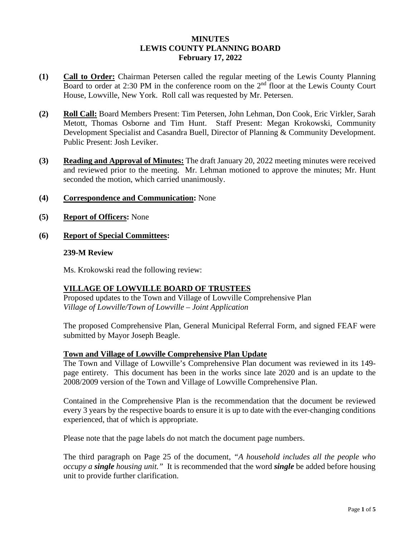## **MINUTES LEWIS COUNTY PLANNING BOARD February 17, 2022**

- **(1) Call to Order:** Chairman Petersen called the regular meeting of the Lewis County Planning Board to order at 2:30 PM in the conference room on the  $2<sup>nd</sup>$  floor at the Lewis County Court House, Lowville, New York. Roll call was requested by Mr. Petersen.
- **(2) Roll Call:** Board Members Present: Tim Petersen, John Lehman, Don Cook, Eric Virkler, Sarah Metott, Thomas Osborne and Tim Hunt. Staff Present: Megan Krokowski, Community Development Specialist and Casandra Buell, Director of Planning & Community Development. Public Present: Josh Leviker.
- **(3) Reading and Approval of Minutes:** The draft January 20, 2022 meeting minutes were received and reviewed prior to the meeting. Mr. Lehman motioned to approve the minutes; Mr. Hunt seconded the motion, which carried unanimously.
- **(4) Correspondence and Communication:** None
- **(5) Report of Officers:** None
- **(6) Report of Special Committees:**

### **239-M Review**

Ms. Krokowski read the following review:

# **VILLAGE OF LOWVILLE BOARD OF TRUSTEES**

Proposed updates to the Town and Village of Lowville Comprehensive Plan *Village of Lowville/Town of Lowville – Joint Application*

The proposed Comprehensive Plan, General Municipal Referral Form, and signed FEAF were submitted by Mayor Joseph Beagle.

### **Town and Village of Lowville Comprehensive Plan Update**

The Town and Village of Lowville's Comprehensive Plan document was reviewed in its 149 page entirety. This document has been in the works since late 2020 and is an update to the 2008/2009 version of the Town and Village of Lowville Comprehensive Plan.

Contained in the Comprehensive Plan is the recommendation that the document be reviewed every 3 years by the respective boards to ensure it is up to date with the ever-changing conditions experienced, that of which is appropriate.

Please note that the page labels do not match the document page numbers.

The third paragraph on Page 25 of the document, *"A household includes all the people who occupy a single housing unit."* It is recommended that the word *single* be added before housing unit to provide further clarification.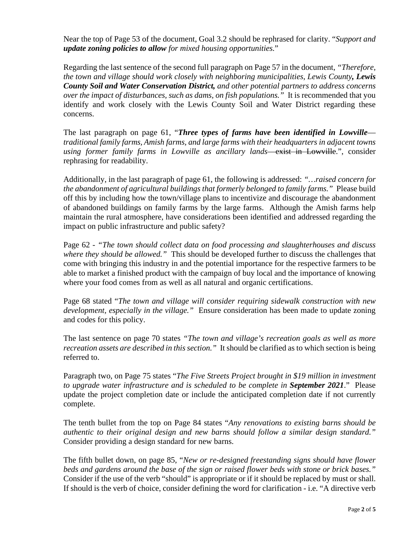Near the top of Page 53 of the document, Goal 3.2 should be rephrased for clarity. "*Support and update zoning policies to allow for mixed housing opportunities.*"

Regarding the last sentence of the second full paragraph on Page 57 in the document, *"Therefore, the town and village should work closely with neighboring municipalities, Lewis County, Lewis County Soil and Water Conservation District, and other potential partners to address concerns over the impact of disturbances, such as dams, on fish populations."* It is recommended that you identify and work closely with the Lewis County Soil and Water District regarding these concerns.

The last paragraph on page 61, "*Three types of farms have been identified in Lowville traditional family farms, Amish farms, and large farms with their headquarters in adjacent towns using former family farms in Lowville as ancillary lands*—exist in Lowville.", consider rephrasing for readability.

Additionally, in the last paragraph of page 61, the following is addressed: *"…raised concern for the abandonment of agricultural buildings that formerly belonged to family farms."* Please build off this by including how the town/village plans to incentivize and discourage the abandonment of abandoned buildings on family farms by the large farms. Although the Amish farms help maintain the rural atmosphere, have considerations been identified and addressed regarding the impact on public infrastructure and public safety?

Page 62 *- "The town should collect data on food processing and slaughterhouses and discuss where they should be allowed."* This should be developed further to discuss the challenges that come with bringing this industry in and the potential importance for the respective farmers to be able to market a finished product with the campaign of buy local and the importance of knowing where your food comes from as well as all natural and organic certifications.

Page 68 stated "*The town and village will consider requiring sidewalk construction with new development, especially in the village."* Ensure consideration has been made to update zoning and codes for this policy.

The last sentence on page 70 states *"The town and village's recreation goals as well as more recreation assets are described in this section."* It should be clarified as to which section is being referred to.

Paragraph two, on Page 75 states "*The Five Streets Project brought in \$19 million in investment to upgrade water infrastructure and is scheduled to be complete in September 2021*." Please update the project completion date or include the anticipated completion date if not currently complete.

The tenth bullet from the top on Page 84 states "*Any renovations to existing barns should be authentic to their original design and new barns should follow a similar design standard."*  Consider providing a design standard for new barns.

The fifth bullet down, on page 85, "*New or re-designed freestanding signs should have flower beds and gardens around the base of the sign or raised flower beds with stone or brick bases."*  Consider if the use of the verb "should" is appropriate or if it should be replaced by must or shall. If should is the verb of choice, consider defining the word for clarification - i.e. "A directive verb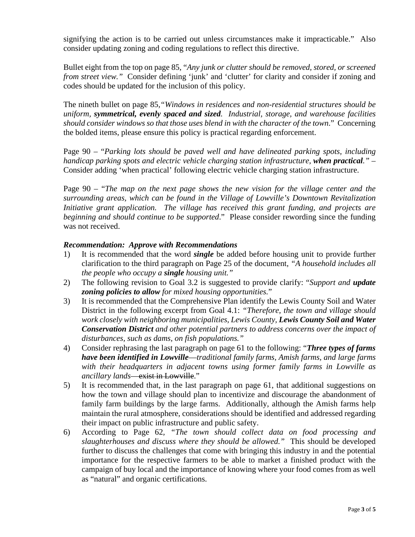signifying the action is to be carried out unless circumstances make it impracticable." Also consider updating zoning and coding regulations to reflect this directive.

Bullet eight from the top on page 85, "*Any junk or clutter should be removed, stored, or screened from street view."* Consider defining 'junk' and 'clutter' for clarity and consider if zoning and codes should be updated for the inclusion of this policy.

The nineth bullet on page 85*,"Windows in residences and non-residential structures should be uniform, symmetrical, evenly spaced and sized. Industrial, storage, and warehouse facilities should consider windows so that those uses blend in with the character of the town*." Concerning the bolded items, please ensure this policy is practical regarding enforcement.

Page 90 – "*Parking lots should be paved well and have delineated parking spots, including handicap parking spots and electric vehicle charging station infrastructure, when practical."* – Consider adding 'when practical' following electric vehicle charging station infrastructure.

Page 90 – "*The map on the next page shows the new vision for the village center and the surrounding areas, which can be found in the Village of Lowville's Downtown Revitalization Initiative grant application. The village has received this grant funding, and projects are beginning and should continue to be supported*." Please consider rewording since the funding was not received.

### *Recommendation: Approve with Recommendations*

- 1) It is recommended that the word *single* be added before housing unit to provide further clarification to the third paragraph on Page 25 of the document, *"A household includes all the people who occupy a single housing unit."*
- 2) The following revision to Goal 3.2 is suggested to provide clarify: "*Support and update zoning policies to allow for mixed housing opportunities.*"
- 3) It is recommended that the Comprehensive Plan identify the Lewis County Soil and Water District in the following excerpt from Goal 4.1: *"Therefore, the town and village should work closely with neighboring municipalities, Lewis County, Lewis County Soil and Water Conservation District and other potential partners to address concerns over the impact of disturbances, such as dams, on fish populations."*
- 4) Consider rephrasing the last paragraph on page 61 to the following: "*Three types of farms have been identified in Lowville*—*traditional family farms, Amish farms, and large farms with their headquarters in adjacent towns using former family farms in Lowville as ancillary lands*—exist in Lowville."
- 5) It is recommended that, in the last paragraph on page 61, that additional suggestions on how the town and village should plan to incentivize and discourage the abandonment of family farm buildings by the large farms. Additionally, although the Amish farms help maintain the rural atmosphere, considerations should be identified and addressed regarding their impact on public infrastructure and public safety.
- 6) According to Page 62*, "The town should collect data on food processing and slaughterhouses and discuss where they should be allowed."* This should be developed further to discuss the challenges that come with bringing this industry in and the potential importance for the respective farmers to be able to market a finished product with the campaign of buy local and the importance of knowing where your food comes from as well as "natural" and organic certifications.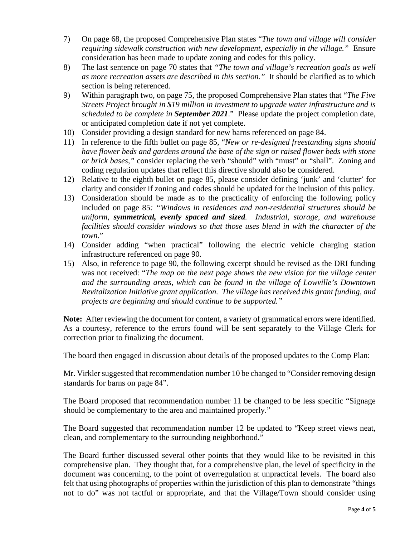- 7) On page 68, the proposed Comprehensive Plan states "*The town and village will consider requiring sidewalk construction with new development, especially in the village."* Ensure consideration has been made to update zoning and codes for this policy.
- 8) The last sentence on page 70 states that *"The town and village's recreation goals as well as more recreation assets are described in this section."* It should be clarified as to which section is being referenced.
- 9) Within paragraph two, on page 75, the proposed Comprehensive Plan states that "*The Five Streets Project brought in \$19 million in investment to upgrade water infrastructure and is scheduled to be complete in September 2021*." Please update the project completion date, or anticipated completion date if not yet complete.
- 10) Consider providing a design standard for new barns referenced on page 84.
- 11) In reference to the fifth bullet on page 85, "*New or re-designed freestanding signs should have flower beds and gardens around the base of the sign or raised flower beds with stone or brick bases,"* consider replacing the verb "should" with "must" or "shall". Zoning and coding regulation updates that reflect this directive should also be considered.
- 12) Relative to the eighth bullet on page 85, please consider defining 'junk' and 'clutter' for clarity and consider if zoning and codes should be updated for the inclusion of this policy.
- 13) Consideration should be made as to the practicality of enforcing the following policy included on page 85*: "Windows in residences and non-residential structures should be uniform, symmetrical, evenly spaced and sized. Industrial, storage, and warehouse facilities should consider windows so that those uses blend in with the character of the town*."
- 14) Consider adding "when practical" following the electric vehicle charging station infrastructure referenced on page 90.
- 15) Also, in reference to page 90, the following excerpt should be revised as the DRI funding was not received: "*The map on the next page shows the new vision for the village center and the surrounding areas, which can be found in the village of Lowville's Downtown Revitalization Initiative grant application. The village has received this grant funding, and projects are beginning and should continue to be supported."*

**Note:** After reviewing the document for content, a variety of grammatical errors were identified. As a courtesy, reference to the errors found will be sent separately to the Village Clerk for correction prior to finalizing the document.

The board then engaged in discussion about details of the proposed updates to the Comp Plan:

Mr. Virkler suggested that recommendation number 10 be changed to "Consider removing design standards for barns on page 84".

The Board proposed that recommendation number 11 be changed to be less specific "Signage should be complementary to the area and maintained properly."

The Board suggested that recommendation number 12 be updated to "Keep street views neat, clean, and complementary to the surrounding neighborhood."

The Board further discussed several other points that they would like to be revisited in this comprehensive plan. They thought that, for a comprehensive plan, the level of specificity in the document was concerning, to the point of overregulation at unpractical levels. The board also felt that using photographs of properties within the jurisdiction of this plan to demonstrate "things not to do" was not tactful or appropriate, and that the Village/Town should consider using